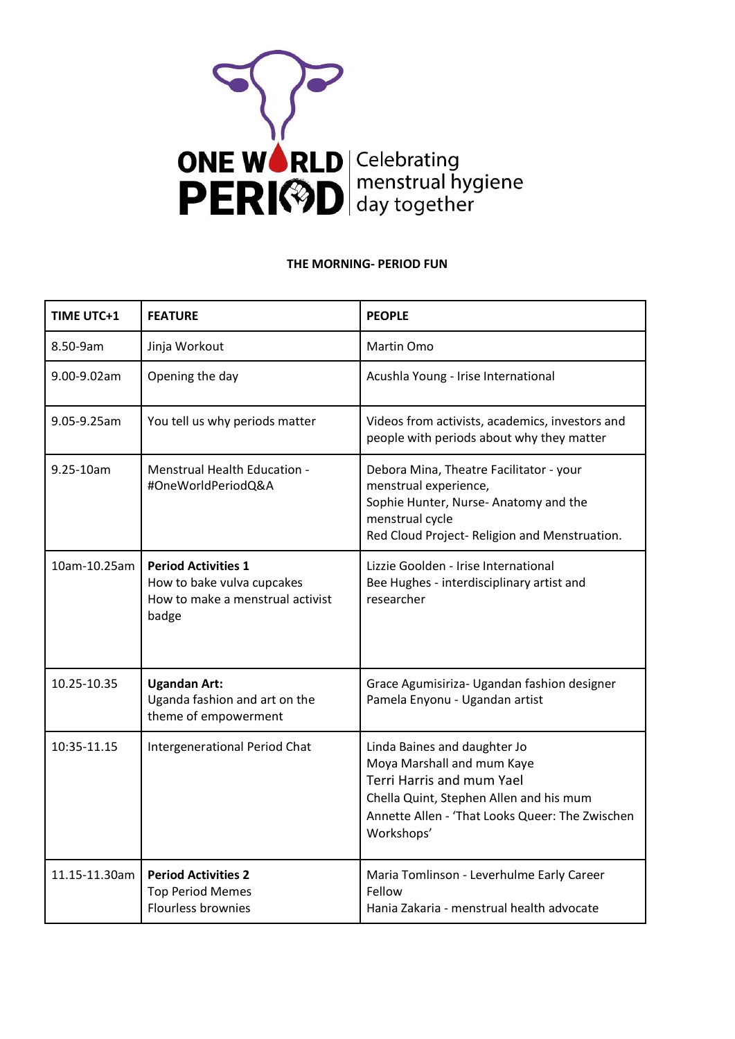

## **THE MORNING- PERIOD FUN**

| <b>TIME UTC+1</b> | <b>FEATURE</b>                                                                                        | <b>PEOPLE</b>                                                                                                                                                                                       |  |
|-------------------|-------------------------------------------------------------------------------------------------------|-----------------------------------------------------------------------------------------------------------------------------------------------------------------------------------------------------|--|
| 8.50-9am          | Jinja Workout                                                                                         | Martin Omo                                                                                                                                                                                          |  |
| 9.00-9.02am       | Opening the day                                                                                       | Acushla Young - Irise International                                                                                                                                                                 |  |
| 9.05-9.25am       | You tell us why periods matter                                                                        | Videos from activists, academics, investors and<br>people with periods about why they matter                                                                                                        |  |
| 9.25-10am         | Menstrual Health Education -<br>#OneWorldPeriodQ&A                                                    | Debora Mina, Theatre Facilitator - your<br>menstrual experience,<br>Sophie Hunter, Nurse-Anatomy and the<br>menstrual cycle<br>Red Cloud Project- Religion and Menstruation.                        |  |
| 10am-10.25am      | <b>Period Activities 1</b><br>How to bake vulva cupcakes<br>How to make a menstrual activist<br>badge | Lizzie Goolden - Irise International<br>Bee Hughes - interdisciplinary artist and<br>researcher                                                                                                     |  |
| 10.25-10.35       | <b>Ugandan Art:</b><br>Uganda fashion and art on the<br>theme of empowerment                          | Grace Agumisiriza- Ugandan fashion designer<br>Pamela Enyonu - Ugandan artist                                                                                                                       |  |
| 10:35-11.15       | <b>Intergenerational Period Chat</b>                                                                  | Linda Baines and daughter Jo<br>Moya Marshall and mum Kaye<br>Terri Harris and mum Yael<br>Chella Quint, Stephen Allen and his mum<br>Annette Allen - 'That Looks Queer: The Zwischen<br>Workshops' |  |
| 11.15-11.30am     | <b>Period Activities 2</b><br><b>Top Period Memes</b><br><b>Flourless brownies</b>                    | Maria Tomlinson - Leverhulme Early Career<br>Fellow<br>Hania Zakaria - menstrual health advocate                                                                                                    |  |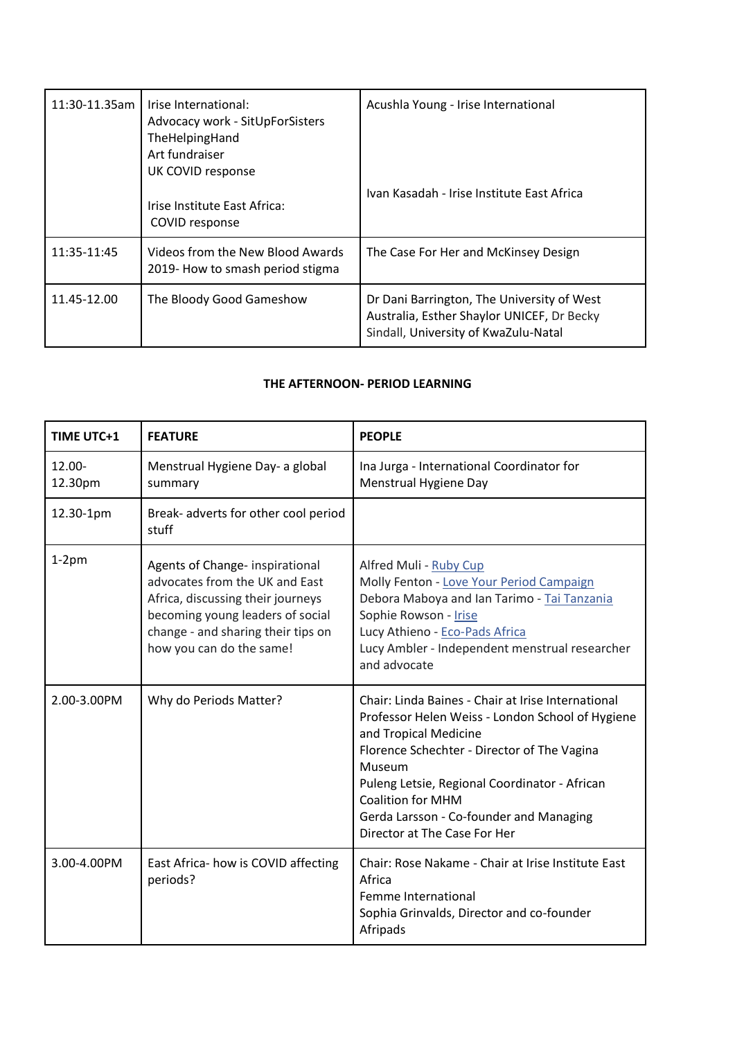| 11:30-11.35am | Irise International:<br>Advocacy work - SitUpForSisters<br>TheHelpingHand<br>Art fundraiser<br>UK COVID response | Acushla Young - Irise International                                                                                              |  |
|---------------|------------------------------------------------------------------------------------------------------------------|----------------------------------------------------------------------------------------------------------------------------------|--|
|               | Irise Institute East Africa:<br>COVID response                                                                   | Ivan Kasadah - Irise Institute East Africa                                                                                       |  |
| 11:35-11:45   | Videos from the New Blood Awards<br>2019- How to smash period stigma                                             | The Case For Her and McKinsey Design                                                                                             |  |
| 11.45-12.00   | The Bloody Good Gameshow                                                                                         | Dr Dani Barrington, The University of West<br>Australia, Esther Shaylor UNICEF, Dr Becky<br>Sindall, University of KwaZulu-Natal |  |

## **THE AFTERNOON- PERIOD LEARNING**

| <b>TIME UTC+1</b> | <b>FEATURE</b>                                                                                                                                                                                               | <b>PEOPLE</b>                                                                                                                                                                                                                                                                                                                                    |
|-------------------|--------------------------------------------------------------------------------------------------------------------------------------------------------------------------------------------------------------|--------------------------------------------------------------------------------------------------------------------------------------------------------------------------------------------------------------------------------------------------------------------------------------------------------------------------------------------------|
| 12.00-<br>12.30pm | Menstrual Hygiene Day- a global<br>summary                                                                                                                                                                   | Ina Jurga - International Coordinator for<br>Menstrual Hygiene Day                                                                                                                                                                                                                                                                               |
| 12.30-1pm         | Break- adverts for other cool period<br>stuff                                                                                                                                                                |                                                                                                                                                                                                                                                                                                                                                  |
| $1-2pm$           | Agents of Change- inspirational<br>advocates from the UK and East<br>Africa, discussing their journeys<br>becoming young leaders of social<br>change - and sharing their tips on<br>how you can do the same! | Alfred Muli - Ruby Cup<br>Molly Fenton - Love Your Period Campaign<br>Debora Maboya and Ian Tarimo - Tai Tanzania<br>Sophie Rowson - Irise<br>Lucy Athieno - Eco-Pads Africa<br>Lucy Ambler - Independent menstrual researcher<br>and advocate                                                                                                   |
| 2.00-3.00PM       | Why do Periods Matter?                                                                                                                                                                                       | Chair: Linda Baines - Chair at Irise International<br>Professor Helen Weiss - London School of Hygiene<br>and Tropical Medicine<br>Florence Schechter - Director of The Vagina<br>Museum<br>Puleng Letsie, Regional Coordinator - African<br><b>Coalition for MHM</b><br>Gerda Larsson - Co-founder and Managing<br>Director at The Case For Her |
| 3.00-4.00PM       | East Africa- how is COVID affecting<br>periods?                                                                                                                                                              | Chair: Rose Nakame - Chair at Irise Institute East<br>Africa<br>Femme International<br>Sophia Grinvalds, Director and co-founder<br>Afripads                                                                                                                                                                                                     |